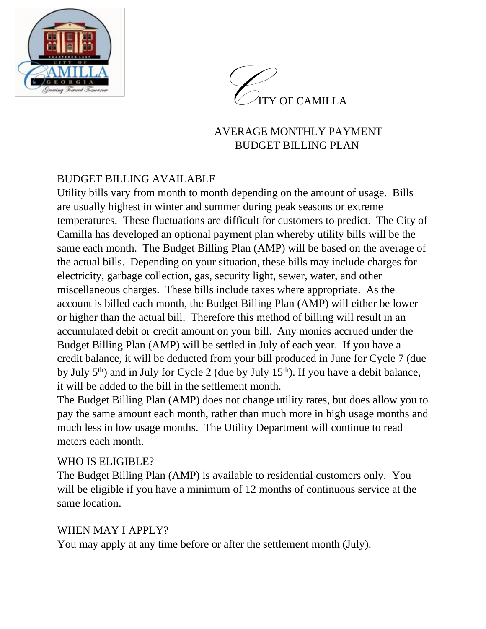



## AVERAGE MONTHLY PAYMENT BUDGET BILLING PLAN

# BUDGET BILLING AVAILABLE

Utility bills vary from month to month depending on the amount of usage. Bills are usually highest in winter and summer during peak seasons or extreme temperatures. These fluctuations are difficult for customers to predict. The City of Camilla has developed an optional payment plan whereby utility bills will be the same each month. The Budget Billing Plan (AMP) will be based on the average of the actual bills. Depending on your situation, these bills may include charges for electricity, garbage collection, gas, security light, sewer, water, and other miscellaneous charges. These bills include taxes where appropriate. As the account is billed each month, the Budget Billing Plan (AMP) will either be lower or higher than the actual bill. Therefore this method of billing will result in an accumulated debit or credit amount on your bill. Any monies accrued under the Budget Billing Plan (AMP) will be settled in July of each year. If you have a credit balance, it will be deducted from your bill produced in June for Cycle 7 (due by July  $5<sup>th</sup>$ ) and in July for Cycle 2 (due by July 15<sup>th</sup>). If you have a debit balance, it will be added to the bill in the settlement month.

The Budget Billing Plan (AMP) does not change utility rates, but does allow you to pay the same amount each month, rather than much more in high usage months and much less in low usage months. The Utility Department will continue to read meters each month.

### WHO IS ELIGIBLE?

The Budget Billing Plan (AMP) is available to residential customers only. You will be eligible if you have a minimum of 12 months of continuous service at the same location.

### WHEN MAY I APPLY?

You may apply at any time before or after the settlement month (July).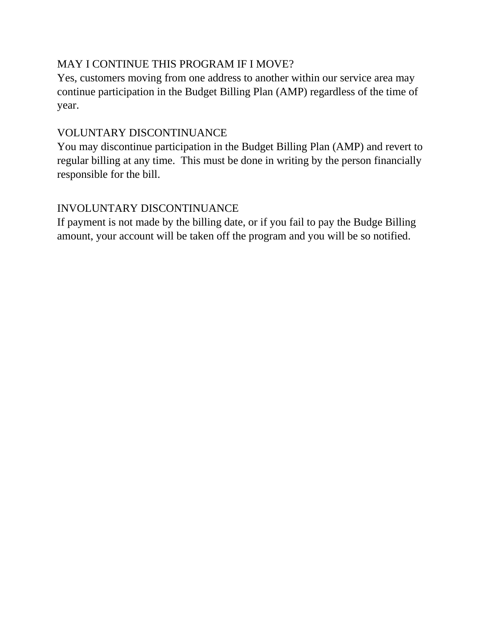## MAY I CONTINUE THIS PROGRAM IF I MOVE?

Yes, customers moving from one address to another within our service area may continue participation in the Budget Billing Plan (AMP) regardless of the time of year.

## VOLUNTARY DISCONTINUANCE

You may discontinue participation in the Budget Billing Plan (AMP) and revert to regular billing at any time. This must be done in writing by the person financially responsible for the bill.

## INVOLUNTARY DISCONTINUANCE

If payment is not made by the billing date, or if you fail to pay the Budge Billing amount, your account will be taken off the program and you will be so notified.